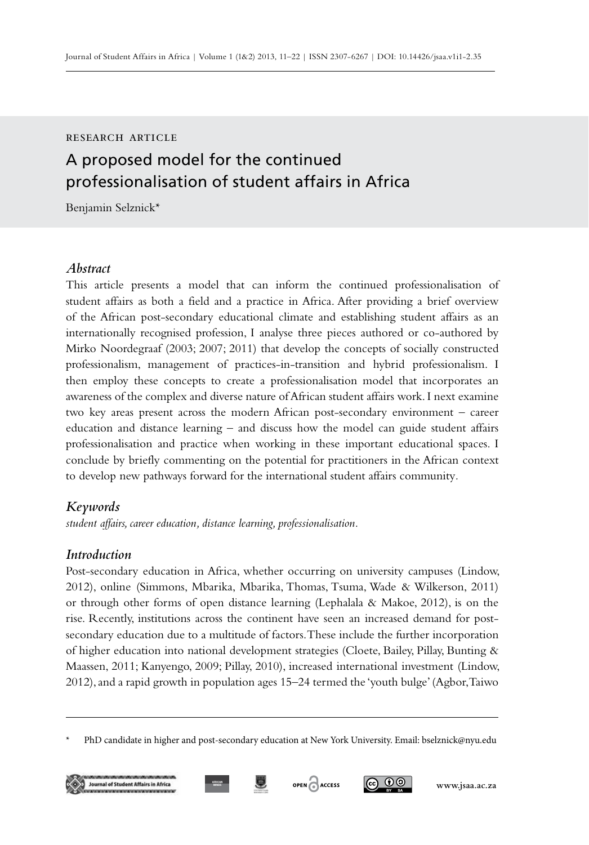#### research article

# A proposed model for the continued professionalisation of student affairs in Africa

Benjamin Selznick\*

## *Abstract*

This article presents a model that can inform the continued professionalisation of student affairs as both a field and a practice in Africa. After providing a brief overview of the African post-secondary educational climate and establishing student affairs as an internationally recognised profession, I analyse three pieces authored or co-authored by Mirko Noordegraaf (2003; 2007; 2011) that develop the concepts of socially constructed professionalism, management of practices-in-transition and hybrid professionalism. I then employ these concepts to create a professionalisation model that incorporates an awareness of the complex and diverse nature of African student affairs work. I next examine two key areas present across the modern African post-secondary environment – career education and distance learning – and discuss how the model can guide student affairs professionalisation and practice when working in these important educational spaces. I conclude by briefly commenting on the potential for practitioners in the African context to develop new pathways forward for the international student affairs community*.* 

## *Keywords*

*student affairs, career education, distance learning, professionalisation.*

#### *Introduction*

Post-secondary education in Africa, whether occurring on university campuses (Lindow, 2012), online (Simmons, Mbarika, Mbarika, Thomas, Tsuma, Wade & Wilkerson, 2011) or through other forms of open distance learning (Lephalala & Makoe, 2012), is on the rise. Recently, institutions across the continent have seen an increased demand for postsecondary education due to a multitude of factors. These include the further incorporation of higher education into national development strategies (Cloete, Bailey, Pillay, Bunting & Maassen, 2011; Kanyengo, 2009; Pillay, 2010), increased international investment (Lindow, 2012), and a rapid growth in population ages 15–24 termed the 'youth bulge' (Agbor, Taiwo

<sup>\*</sup> PhD candidate in higher and post-secondary education at New York University. Email: bselznick@nyu.edu





**AFRICAN**



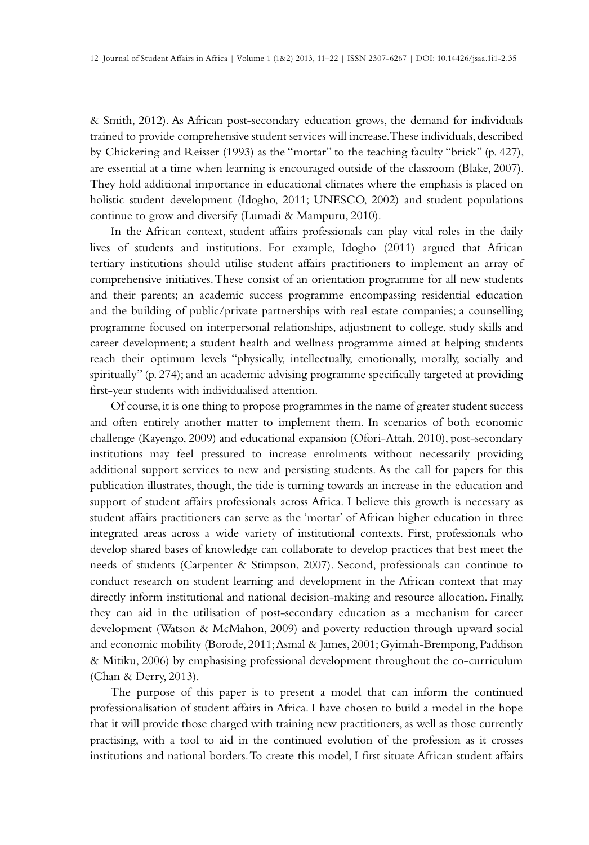& Smith, 2012). As African post-secondary education grows, the demand for individuals trained to provide comprehensive student services will increase. These individuals, described by Chickering and Reisser (1993) as the "mortar" to the teaching faculty "brick" (p. 427), are essential at a time when learning is encouraged outside of the classroom (Blake, 2007). They hold additional importance in educational climates where the emphasis is placed on holistic student development (Idogho, 2011; UNESCO, 2002) and student populations continue to grow and diversify (Lumadi & Mampuru, 2010).

In the African context, student affairs professionals can play vital roles in the daily lives of students and institutions. For example, Idogho (2011) argued that African tertiary institutions should utilise student affairs practitioners to implement an array of comprehensive initiatives. These consist of an orientation programme for all new students and their parents; an academic success programme encompassing residential education and the building of public/private partnerships with real estate companies; a counselling programme focused on interpersonal relationships, adjustment to college, study skills and career development; a student health and wellness programme aimed at helping students reach their optimum levels "physically, intellectually, emotionally, morally, socially and spiritually" (p. 274); and an academic advising programme specifically targeted at providing first-year students with individualised attention.

Of course, it is one thing to propose programmes in the name of greater student success and often entirely another matter to implement them. In scenarios of both economic challenge (Kayengo, 2009) and educational expansion (Ofori-Attah, 2010), post-secondary institutions may feel pressured to increase enrolments without necessarily providing additional support services to new and persisting students. As the call for papers for this publication illustrates, though, the tide is turning towards an increase in the education and support of student affairs professionals across Africa. I believe this growth is necessary as student affairs practitioners can serve as the 'mortar' of African higher education in three integrated areas across a wide variety of institutional contexts. First, professionals who develop shared bases of knowledge can collaborate to develop practices that best meet the needs of students (Carpenter & Stimpson, 2007). Second, professionals can continue to conduct research on student learning and development in the African context that may directly inform institutional and national decision-making and resource allocation. Finally, they can aid in the utilisation of post-secondary education as a mechanism for career development (Watson & McMahon, 2009) and poverty reduction through upward social and economic mobility (Borode, 2011; Asmal & James, 2001; Gyimah-Brempong, Paddison & Mitiku, 2006) by emphasising professional development throughout the co-curriculum (Chan & Derry, 2013).

The purpose of this paper is to present a model that can inform the continued professionalisation of student affairs in Africa. I have chosen to build a model in the hope that it will provide those charged with training new practitioners, as well as those currently practising, with a tool to aid in the continued evolution of the profession as it crosses institutions and national borders. To create this model, I first situate African student affairs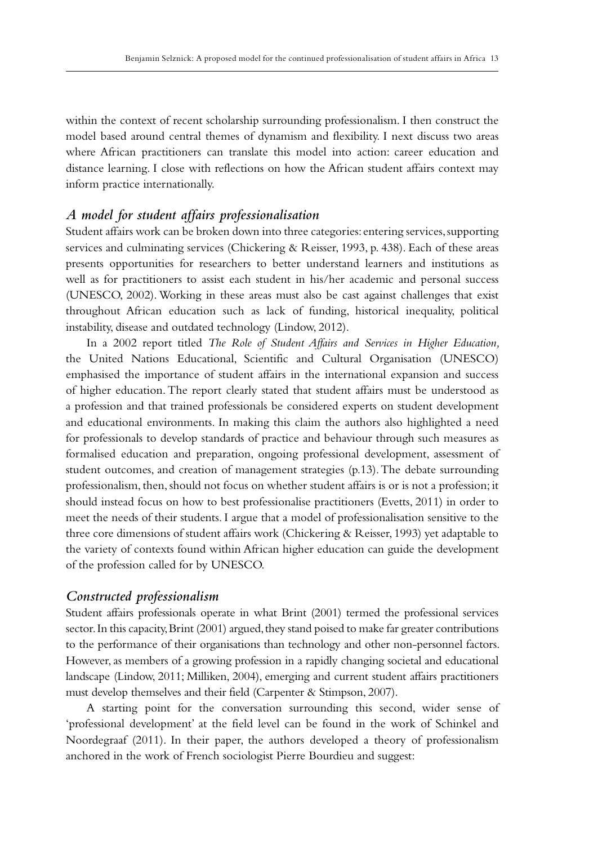within the context of recent scholarship surrounding professionalism. I then construct the model based around central themes of dynamism and flexibility. I next discuss two areas where African practitioners can translate this model into action: career education and distance learning. I close with reflections on how the African student affairs context may inform practice internationally.

# *A model for student affairs professionalisation*

Student affairs work can be broken down into three categories: entering services, supporting services and culminating services (Chickering & Reisser, 1993, p. 438). Each of these areas presents opportunities for researchers to better understand learners and institutions as well as for practitioners to assist each student in his/her academic and personal success (UNESCO, 2002). Working in these areas must also be cast against challenges that exist throughout African education such as lack of funding, historical inequality, political instability, disease and outdated technology (Lindow, 2012).

In a 2002 report titled *The Role of Student Affairs and Services in Higher Education,*  the United Nations Educational, Scientific and Cultural Organisation (UNESCO) emphasised the importance of student affairs in the international expansion and success of higher education. The report clearly stated that student affairs must be understood as a profession and that trained professionals be considered experts on student development and educational environments. In making this claim the authors also highlighted a need for professionals to develop standards of practice and behaviour through such measures as formalised education and preparation, ongoing professional development, assessment of student outcomes, and creation of management strategies (p.13). The debate surrounding professionalism, then, should not focus on whether student affairs is or is not a profession; it should instead focus on how to best professionalise practitioners (Evetts, 2011) in order to meet the needs of their students. I argue that a model of professionalisation sensitive to the three core dimensions of student affairs work (Chickering & Reisser, 1993) yet adaptable to the variety of contexts found within African higher education can guide the development of the profession called for by UNESCO.

## *Constructed professionalism*

Student affairs professionals operate in what Brint (2001) termed the professional services sector. In this capacity, Brint (2001) argued, they stand poised to make far greater contributions to the performance of their organisations than technology and other non-personnel factors. However, as members of a growing profession in a rapidly changing societal and educational landscape (Lindow, 2011; Milliken, 2004), emerging and current student affairs practitioners must develop themselves and their field (Carpenter & Stimpson, 2007).

A starting point for the conversation surrounding this second, wider sense of 'professional development' at the field level can be found in the work of Schinkel and Noordegraaf (2011). In their paper, the authors developed a theory of professionalism anchored in the work of French sociologist Pierre Bourdieu and suggest: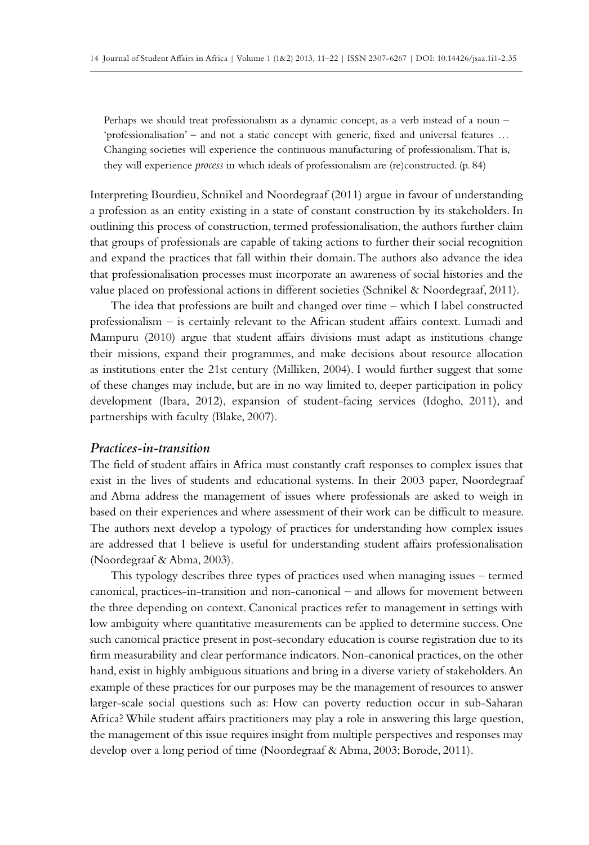Perhaps we should treat professionalism as a dynamic concept, as a verb instead of a noun – 'professionalisation' – and not a static concept with generic, fixed and universal features … Changing societies will experience the continuous manufacturing of professionalism. That is, they will experience *process* in which ideals of professionalism are (re)constructed. (p. 84)

Interpreting Bourdieu, Schnikel and Noordegraaf (2011) argue in favour of understanding a profession as an entity existing in a state of constant construction by its stakeholders. In outlining this process of construction, termed professionalisation, the authors further claim that groups of professionals are capable of taking actions to further their social recognition and expand the practices that fall within their domain. The authors also advance the idea that professionalisation processes must incorporate an awareness of social histories and the value placed on professional actions in different societies (Schnikel & Noordegraaf, 2011).

The idea that professions are built and changed over time – which I label constructed professionalism – is certainly relevant to the African student affairs context. Lumadi and Mampuru (2010) argue that student affairs divisions must adapt as institutions change their missions, expand their programmes, and make decisions about resource allocation as institutions enter the 21st century (Milliken, 2004). I would further suggest that some of these changes may include, but are in no way limited to, deeper participation in policy development (Ibara, 2012), expansion of student-facing services (Idogho, 2011), and partnerships with faculty (Blake, 2007).

#### *Practices-in-transition*

The field of student affairs in Africa must constantly craft responses to complex issues that exist in the lives of students and educational systems. In their 2003 paper, Noordegraaf and Abma address the management of issues where professionals are asked to weigh in based on their experiences and where assessment of their work can be difficult to measure. The authors next develop a typology of practices for understanding how complex issues are addressed that I believe is useful for understanding student affairs professionalisation (Noordegraaf & Abma, 2003).

This typology describes three types of practices used when managing issues – termed canonical, practices-in-transition and non-canonical – and allows for movement between the three depending on context. Canonical practices refer to management in settings with low ambiguity where quantitative measurements can be applied to determine success. One such canonical practice present in post-secondary education is course registration due to its firm measurability and clear performance indicators. Non-canonical practices, on the other hand, exist in highly ambiguous situations and bring in a diverse variety of stakeholders. An example of these practices for our purposes may be the management of resources to answer larger-scale social questions such as: How can poverty reduction occur in sub-Saharan Africa? While student affairs practitioners may play a role in answering this large question, the management of this issue requires insight from multiple perspectives and responses may develop over a long period of time (Noordegraaf & Abma, 2003; Borode, 2011).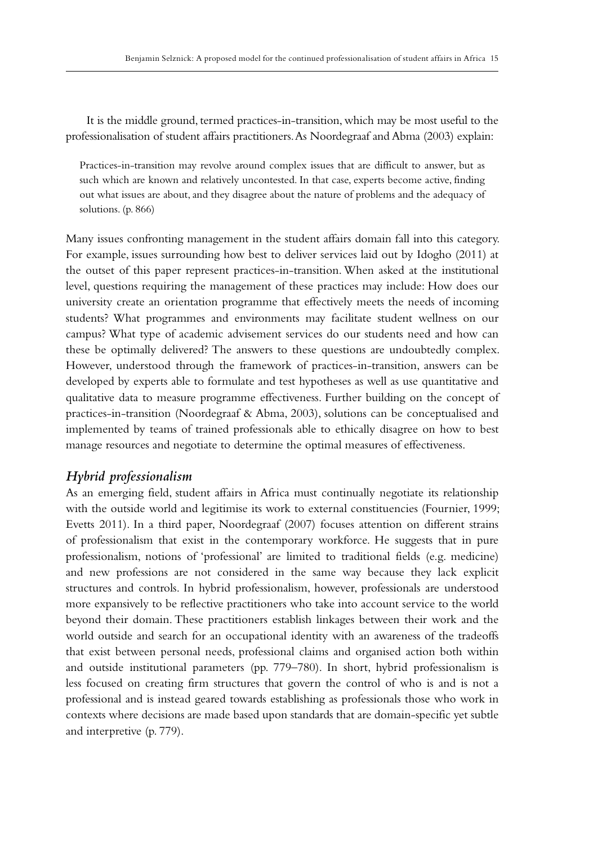It is the middle ground, termed practices-in-transition, which may be most useful to the professionalisation of student affairs practitioners. As Noordegraaf and Abma (2003) explain:

Practices-in-transition may revolve around complex issues that are difficult to answer, but as such which are known and relatively uncontested. In that case, experts become active, finding out what issues are about, and they disagree about the nature of problems and the adequacy of solutions. (p. 866)

Many issues confronting management in the student affairs domain fall into this category. For example, issues surrounding how best to deliver services laid out by Idogho (2011) at the outset of this paper represent practices-in-transition. When asked at the institutional level, questions requiring the management of these practices may include: How does our university create an orientation programme that effectively meets the needs of incoming students? What programmes and environments may facilitate student wellness on our campus? What type of academic advisement services do our students need and how can these be optimally delivered? The answers to these questions are undoubtedly complex. However, understood through the framework of practices-in-transition, answers can be developed by experts able to formulate and test hypotheses as well as use quantitative and qualitative data to measure programme effectiveness. Further building on the concept of practices-in-transition (Noordegraaf & Abma, 2003), solutions can be conceptualised and implemented by teams of trained professionals able to ethically disagree on how to best manage resources and negotiate to determine the optimal measures of effectiveness.

## *Hybrid professionalism*

As an emerging field, student affairs in Africa must continually negotiate its relationship with the outside world and legitimise its work to external constituencies (Fournier, 1999; Evetts 2011). In a third paper, Noordegraaf (2007) focuses attention on different strains of professionalism that exist in the contemporary workforce. He suggests that in pure professionalism, notions of 'professional' are limited to traditional fields (e.g. medicine) and new professions are not considered in the same way because they lack explicit structures and controls. In hybrid professionalism, however, professionals are understood more expansively to be reflective practitioners who take into account service to the world beyond their domain. These practitioners establish linkages between their work and the world outside and search for an occupational identity with an awareness of the tradeoffs that exist between personal needs, professional claims and organised action both within and outside institutional parameters (pp. 779–780). In short, hybrid professionalism is less focused on creating firm structures that govern the control of who is and is not a professional and is instead geared towards establishing as professionals those who work in contexts where decisions are made based upon standards that are domain-specific yet subtle and interpretive (p. 779).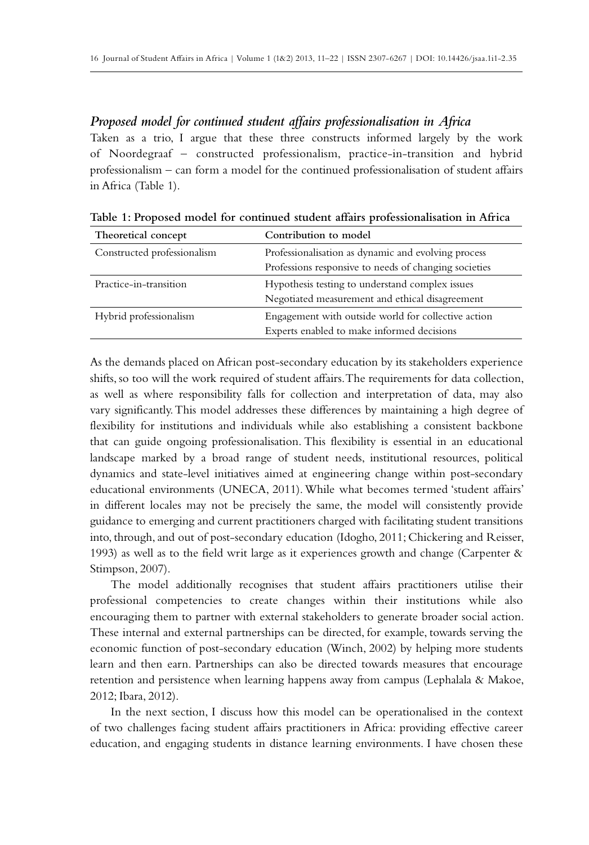# *Proposed model for continued student affairs professionalisation in Africa*

Taken as a trio, I argue that these three constructs informed largely by the work of Noordegraaf – constructed professionalism, practice-in-transition and hybrid professionalism – can form a model for the continued professionalisation of student affairs in Africa (Table 1).

| Theoretical concept         | Contribution to model                                 |  |
|-----------------------------|-------------------------------------------------------|--|
| Constructed professionalism | Professionalisation as dynamic and evolving process   |  |
|                             | Professions responsive to needs of changing societies |  |
| Practice-in-transition      | Hypothesis testing to understand complex issues       |  |
|                             | Negotiated measurement and ethical disagreement       |  |
| Hybrid professionalism      | Engagement with outside world for collective action   |  |
|                             | Experts enabled to make informed decisions            |  |

**Table 1: Proposed model for continued student affairs professionalisation in Africa**

As the demands placed on African post-secondary education by its stakeholders experience shifts, so too will the work required of student affairs. The requirements for data collection, as well as where responsibility falls for collection and interpretation of data, may also vary significantly. This model addresses these differences by maintaining a high degree of flexibility for institutions and individuals while also establishing a consistent backbone that can guide ongoing professionalisation. This flexibility is essential in an educational landscape marked by a broad range of student needs, institutional resources, political dynamics and state-level initiatives aimed at engineering change within post-secondary educational environments (UNECA, 2011). While what becomes termed 'student affairs' in different locales may not be precisely the same, the model will consistently provide guidance to emerging and current practitioners charged with facilitating student transitions into, through, and out of post-secondary education (Idogho, 2011; Chickering and Reisser, 1993) as well as to the field writ large as it experiences growth and change (Carpenter & Stimpson, 2007).

The model additionally recognises that student affairs practitioners utilise their professional competencies to create changes within their institutions while also encouraging them to partner with external stakeholders to generate broader social action. These internal and external partnerships can be directed, for example, towards serving the economic function of post-secondary education (Winch, 2002) by helping more students learn and then earn. Partnerships can also be directed towards measures that encourage retention and persistence when learning happens away from campus (Lephalala & Makoe, 2012; Ibara, 2012).

In the next section, I discuss how this model can be operationalised in the context of two challenges facing student affairs practitioners in Africa: providing effective career education, and engaging students in distance learning environments. I have chosen these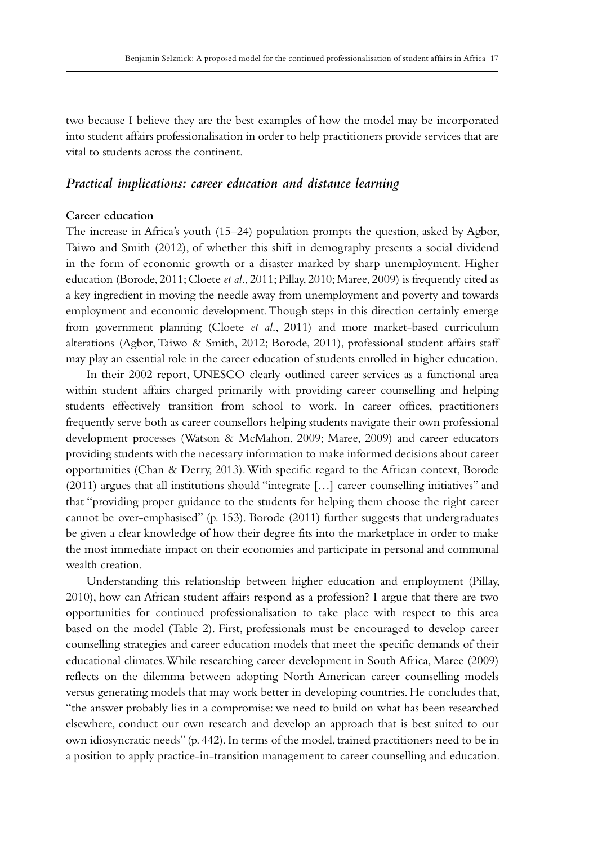two because I believe they are the best examples of how the model may be incorporated into student affairs professionalisation in order to help practitioners provide services that are vital to students across the continent.

# *Practical implications: career education and distance learning*

# **Career education**

The increase in Africa's youth (15–24) population prompts the question, asked by Agbor, Taiwo and Smith (2012), of whether this shift in demography presents a social dividend in the form of economic growth or a disaster marked by sharp unemployment. Higher education (Borode, 2011; Cloete *et al*., 2011; Pillay, 2010; Maree, 2009) is frequently cited as a key ingredient in moving the needle away from unemployment and poverty and towards employment and economic development. Though steps in this direction certainly emerge from government planning (Cloete *et al*., 2011) and more market-based curriculum alterations (Agbor, Taiwo & Smith, 2012; Borode, 2011), professional student affairs staff may play an essential role in the career education of students enrolled in higher education.

In their 2002 report, UNESCO clearly outlined career services as a functional area within student affairs charged primarily with providing career counselling and helping students effectively transition from school to work. In career offices, practitioners frequently serve both as career counsellors helping students navigate their own professional development processes (Watson & McMahon, 2009; Maree, 2009) and career educators providing students with the necessary information to make informed decisions about career opportunities (Chan & Derry, 2013). With specific regard to the African context, Borode (2011) argues that all institutions should "integrate […] career counselling initiatives" and that "providing proper guidance to the students for helping them choose the right career cannot be over-emphasised" (p. 153). Borode (2011) further suggests that undergraduates be given a clear knowledge of how their degree fits into the marketplace in order to make the most immediate impact on their economies and participate in personal and communal wealth creation.

Understanding this relationship between higher education and employment (Pillay, 2010), how can African student affairs respond as a profession? I argue that there are two opportunities for continued professionalisation to take place with respect to this area based on the model (Table 2). First, professionals must be encouraged to develop career counselling strategies and career education models that meet the specific demands of their educational climates. While researching career development in South Africa, Maree (2009) reflects on the dilemma between adopting North American career counselling models versus generating models that may work better in developing countries. He concludes that, "the answer probably lies in a compromise: we need to build on what has been researched elsewhere, conduct our own research and develop an approach that is best suited to our own idiosyncratic needs" (p. 442). In terms of the model, trained practitioners need to be in a position to apply practice-in-transition management to career counselling and education.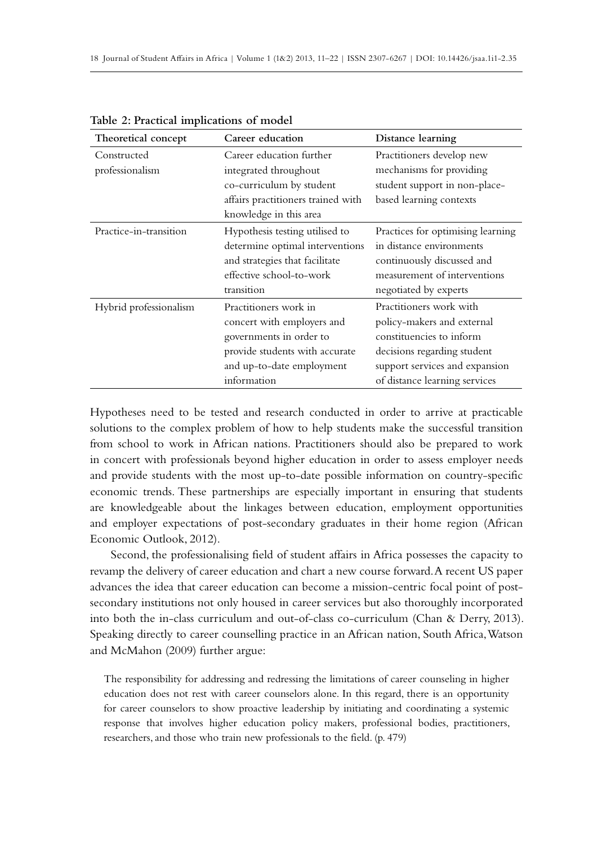| Theoretical concept            | Career education                                                                                                                                             | Distance learning                                                                                                                                                                   |
|--------------------------------|--------------------------------------------------------------------------------------------------------------------------------------------------------------|-------------------------------------------------------------------------------------------------------------------------------------------------------------------------------------|
| Constructed<br>professionalism | Career education further<br>integrated throughout<br>co-curriculum by student<br>affairs practitioners trained with<br>knowledge in this area                | Practitioners develop new<br>mechanisms for providing<br>student support in non-place-<br>based learning contexts                                                                   |
| Practice-in-transition         | Hypothesis testing utilised to<br>determine optimal interventions<br>and strategies that facilitate<br>effective school-to-work<br>transition                | Practices for optimising learning<br>in distance environments<br>continuously discussed and<br>measurement of interventions<br>negotiated by experts                                |
| Hybrid professionalism         | Practitioners work in<br>concert with employers and<br>governments in order to<br>provide students with accurate<br>and up-to-date employment<br>information | Practitioners work with<br>policy-makers and external<br>constituencies to inform<br>decisions regarding student<br>support services and expansion<br>of distance learning services |

**Table 2: Practical implications of model**

Hypotheses need to be tested and research conducted in order to arrive at practicable solutions to the complex problem of how to help students make the successful transition from school to work in African nations. Practitioners should also be prepared to work in concert with professionals beyond higher education in order to assess employer needs and provide students with the most up-to-date possible information on country-specific economic trends. These partnerships are especially important in ensuring that students are knowledgeable about the linkages between education, employment opportunities and employer expectations of post-secondary graduates in their home region (African Economic Outlook, 2012).

Second, the professionalising field of student affairs in Africa possesses the capacity to revamp the delivery of career education and chart a new course forward. A recent US paper advances the idea that career education can become a mission-centric focal point of postsecondary institutions not only housed in career services but also thoroughly incorporated into both the in-class curriculum and out-of-class co-curriculum (Chan & Derry, 2013). Speaking directly to career counselling practice in an African nation, South Africa, Watson and McMahon (2009) further argue:

The responsibility for addressing and redressing the limitations of career counseling in higher education does not rest with career counselors alone. In this regard, there is an opportunity for career counselors to show proactive leadership by initiating and coordinating a systemic response that involves higher education policy makers, professional bodies, practitioners, researchers, and those who train new professionals to the field. (p. 479)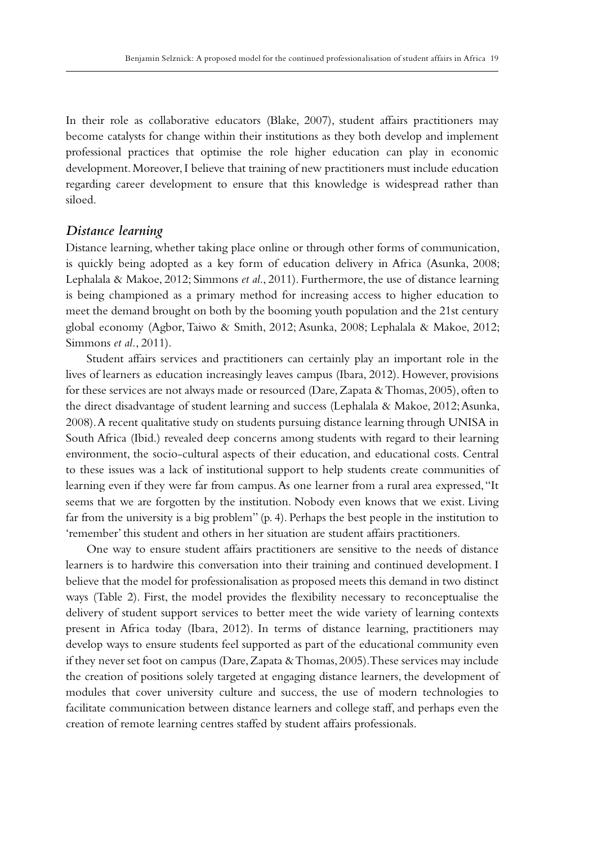In their role as collaborative educators (Blake, 2007), student affairs practitioners may become catalysts for change within their institutions as they both develop and implement professional practices that optimise the role higher education can play in economic development. Moreover, I believe that training of new practitioners must include education regarding career development to ensure that this knowledge is widespread rather than siloed.

#### *Distance learning*

Distance learning, whether taking place online or through other forms of communication, is quickly being adopted as a key form of education delivery in Africa (Asunka, 2008; Lephalala & Makoe, 2012; Simmons *et al*., 2011). Furthermore, the use of distance learning is being championed as a primary method for increasing access to higher education to meet the demand brought on both by the booming youth population and the 21st century global economy (Agbor, Taiwo & Smith, 2012; Asunka, 2008; Lephalala & Makoe, 2012; Simmons *et al.*, 2011).

Student affairs services and practitioners can certainly play an important role in the lives of learners as education increasingly leaves campus (Ibara, 2012). However, provisions for these services are not always made or resourced (Dare, Zapata & Thomas, 2005), often to the direct disadvantage of student learning and success (Lephalala & Makoe, 2012; Asunka, 2008). A recent qualitative study on students pursuing distance learning through UNISA in South Africa (Ibid.) revealed deep concerns among students with regard to their learning environment, the socio-cultural aspects of their education, and educational costs. Central to these issues was a lack of institutional support to help students create communities of learning even if they were far from campus. As one learner from a rural area expressed, "It seems that we are forgotten by the institution. Nobody even knows that we exist. Living far from the university is a big problem" (p. 4). Perhaps the best people in the institution to 'remember' this student and others in her situation are student affairs practitioners.

One way to ensure student affairs practitioners are sensitive to the needs of distance learners is to hardwire this conversation into their training and continued development. I believe that the model for professionalisation as proposed meets this demand in two distinct ways (Table 2). First, the model provides the flexibility necessary to reconceptualise the delivery of student support services to better meet the wide variety of learning contexts present in Africa today (Ibara, 2012). In terms of distance learning, practitioners may develop ways to ensure students feel supported as part of the educational community even if they never set foot on campus (Dare, Zapata & Thomas, 2005). These services may include the creation of positions solely targeted at engaging distance learners, the development of modules that cover university culture and success, the use of modern technologies to facilitate communication between distance learners and college staff, and perhaps even the creation of remote learning centres staffed by student affairs professionals.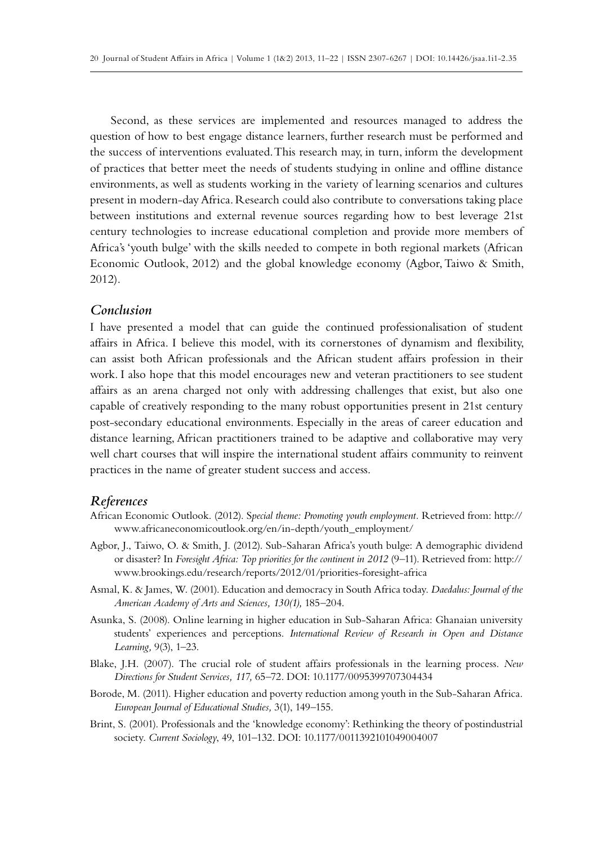Second, as these services are implemented and resources managed to address the question of how to best engage distance learners, further research must be performed and the success of interventions evaluated. This research may, in turn, inform the development of practices that better meet the needs of students studying in online and offline distance environments, as well as students working in the variety of learning scenarios and cultures present in modern-day Africa. Research could also contribute to conversations taking place between institutions and external revenue sources regarding how to best leverage 21st century technologies to increase educational completion and provide more members of Africa's 'youth bulge' with the skills needed to compete in both regional markets (African Economic Outlook, 2012) and the global knowledge economy (Agbor, Taiwo & Smith, 2012).

## *Conclusion*

I have presented a model that can guide the continued professionalisation of student affairs in Africa. I believe this model, with its cornerstones of dynamism and flexibility, can assist both African professionals and the African student affairs profession in their work. I also hope that this model encourages new and veteran practitioners to see student affairs as an arena charged not only with addressing challenges that exist, but also one capable of creatively responding to the many robust opportunities present in 21st century post-secondary educational environments. Especially in the areas of career education and distance learning, African practitioners trained to be adaptive and collaborative may very well chart courses that will inspire the international student affairs community to reinvent practices in the name of greater student success and access.

#### *References*

- African Economic Outlook. (2012). S*pecial theme: Promoting youth employment.* Retrieved from: http:// www.africaneconomicoutlook.org/en/in-depth/youth\_employment/
- Agbor, J., Taiwo, O. & Smith, J. (2012). Sub-Saharan Africa's youth bulge: A demographic dividend or disaster? In *Foresight Africa: Top priorities for the continent in 2012 (9-11)*. Retrieved from: http:// www.brookings.edu/research/reports/2012/01/priorities-foresight-africa
- Asmal, K. & James, W. (2001). Education and democracy in South Africa today. *Daedalus: Journal of the American Academy of Arts and Sciences, 130(1),* 185–204.
- Asunka, S. (2008). Online learning in higher education in Sub-Saharan Africa: Ghanaian university students' experiences and perceptions. *International Review of Research in Open and Distance Learning,* 9(3), 1–23.
- Blake, J.H. (2007). The crucial role of student affairs professionals in the learning process. *New*  Directions for Student Services, 117, 65-72. DOI: 10.1177/0095399707304434
- Borode, M. (2011). Higher education and poverty reduction among youth in the Sub-Saharan Africa. *European Journal of Educational Studies,* 3(1), 149–155.
- Brint, S. (2001). Professionals and the 'knowledge economy': Rethinking the theory of postindustrial society. *Current Sociology*, 49, 101-132. DOI: 10.1177/0011392101049004007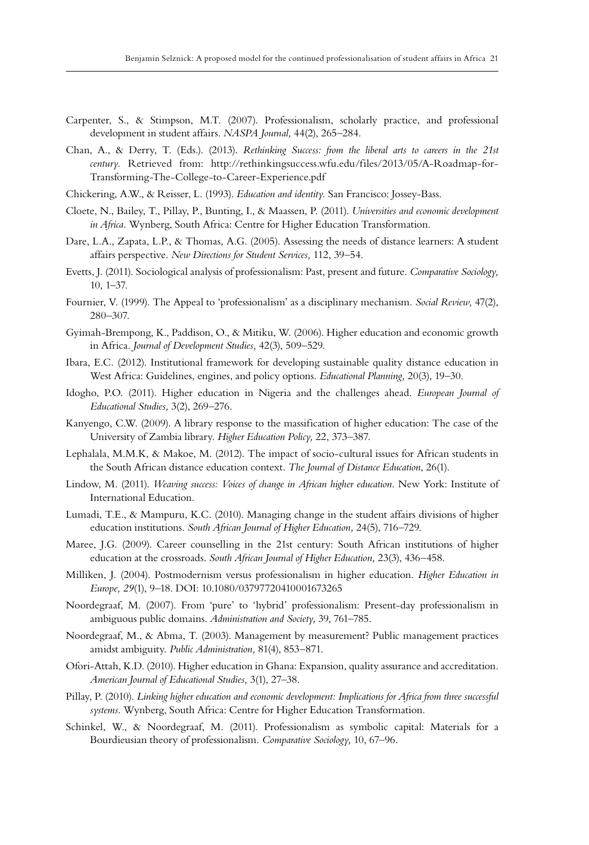- Carpenter, S., & Stimpson, M.T. (2007). Professionalism, scholarly practice, and professional development in student affairs. *NASPA Journal,* 44(2), 265–284.
- Chan, A., & Derry, T. (Eds.). (2013). *Rethinking Success: from the liberal arts to careers in the 21st century.* Retrieved from: http://rethinkingsuccess.wfu.edu/files/2013/05/A-Roadmap-for-Transforming-The-College-to-Career-Experience.pdf
- Chickering, A.W., & Reisser, L. (1993). *Education and identity.* San Francisco: Jossey-Bass.
- Cloete, N., Bailey, T., Pillay, P., Bunting, I., & Maassen, P. (2011). *Universities and economic development in Africa.* Wynberg, South Africa: Centre for Higher Education Transformation.
- Dare, L.A., Zapata, L.P., & Thomas, A.G. (2005). Assessing the needs of distance learners: A student affairs perspective. *New Directions for Student Services,* 112, 39–54.
- Evetts, J. (2011). Sociological analysis of professionalism: Past, present and future. *Comparative Sociology,*  10, 1–37.
- Fournier, V. (1999). The Appeal to 'professionalism' as a disciplinary mechanism. *Social Review,* 47(2), 280–307.
- Gyimah-Brempong, K., Paddison, O., & Mitiku, W. (2006). Higher education and economic growth in Africa. *Journal of Development Studies,* 42(3), 509–529.
- Ibara, E.C. (2012). Institutional framework for developing sustainable quality distance education in West Africa: Guidelines, engines, and policy options. *Educational Planning,* 20(3), 19–30.
- Idogho, P.O. (2011). Higher education in Nigeria and the challenges ahead. *European Journal of Educational Studies,* 3(2), 269–276.
- Kanyengo, C.W. (2009). A library response to the massification of higher education: The case of the University of Zambia library. *Higher Education Policy,* 22, 373–387.
- Lephalala, M.M.K, & Makoe, M. (2012). The impact of socio-cultural issues for African students in the South African distance education context. *The Journal of Distance Education*, 26(1).
- Lindow, M. (2011). *Weaving success: Voices of change in African higher education*. New York: Institute of International Education.
- Lumadi, T.E., & Mampuru, K.C. (2010). Managing change in the student affairs divisions of higher education institutions. *South African Journal of Higher Education,* 24(5), 716–729.
- Maree, J.G. (2009). Career counselling in the 21st century: South African institutions of higher education at the crossroads. *South African Journal of Higher Education,* 23(3), 436–458.
- Milliken, J. (2004). Postmodernism versus professionalism in higher education. *Higher Education in*  Europe, 29(1), 9-18. DOI: 10.1080/03797720410001673265
- Noordegraaf, M. (2007). From 'pure' to 'hybrid' professionalism: Present-day professionalism in ambiguous public domains. *Administration and Society,* 39, 761–785.
- Noordegraaf, M., & Abma, T. (2003). Management by measurement? Public management practices amidst ambiguity. *Public Administration,* 81(4), 853–871.
- Ofori-Attah, K.D. (2010). Higher education in Ghana: Expansion, quality assurance and accreditation. *American Journal of Educational Studies,* 3(1), 27–38.
- Pillay, P. (2010). *Linking higher education and economic development: Implications for Africa from three successful systems.* Wynberg, South Africa: Centre for Higher Education Transformation.
- Schinkel, W., & Noordegraaf, M. (2011). Professionalism as symbolic capital: Materials for a Bourdieusian theory of professionalism. *Comparative Sociology,* 10, 67–96.